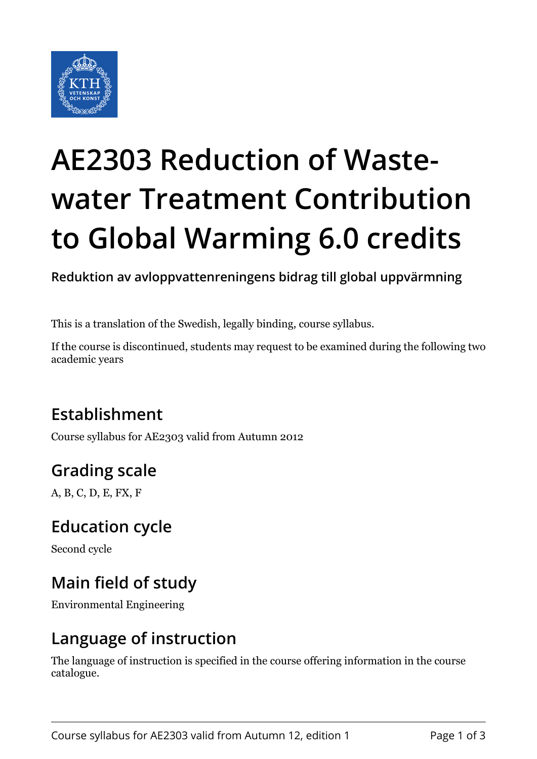

# **AE2303 Reduction of Wastewater Treatment Contribution to Global Warming 6.0 credits**

**Reduktion av avloppvattenreningens bidrag till global uppvärmning**

This is a translation of the Swedish, legally binding, course syllabus.

If the course is discontinued, students may request to be examined during the following two academic years

## **Establishment**

Course syllabus for AE2303 valid from Autumn 2012

## **Grading scale**

A, B, C, D, E, FX, F

#### **Education cycle**

Second cycle

## **Main field of study**

Environmental Engineering

#### **Language of instruction**

The language of instruction is specified in the course offering information in the course catalogue.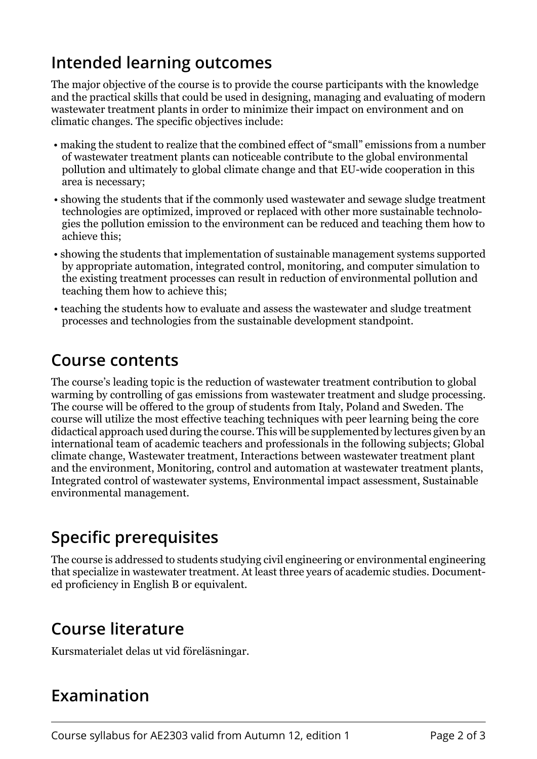## **Intended learning outcomes**

The major objective of the course is to provide the course participants with the knowledge and the practical skills that could be used in designing, managing and evaluating of modern wastewater treatment plants in order to minimize their impact on environment and on climatic changes. The specific objectives include:

- making the student to realize that the combined effect of "small" emissions from a number of wastewater treatment plants can noticeable contribute to the global environmental pollution and ultimately to global climate change and that EU-wide cooperation in this area is necessary;
- showing the students that if the commonly used wastewater and sewage sludge treatment technologies are optimized, improved or replaced with other more sustainable technologies the pollution emission to the environment can be reduced and teaching them how to achieve this;
- showing the students that implementation of sustainable management systems supported by appropriate automation, integrated control, monitoring, and computer simulation to the existing treatment processes can result in reduction of environmental pollution and teaching them how to achieve this;
- teaching the students how to evaluate and assess the wastewater and sludge treatment processes and technologies from the sustainable development standpoint.

#### **Course contents**

The course's leading topic is the reduction of wastewater treatment contribution to global warming by controlling of gas emissions from wastewater treatment and sludge processing. The course will be offered to the group of students from Italy, Poland and Sweden. The course will utilize the most effective teaching techniques with peer learning being the core didactical approach used during the course. This will be supplemented by lectures given by an international team of academic teachers and professionals in the following subjects; Global climate change, Wastewater treatment, Interactions between wastewater treatment plant and the environment, Monitoring, control and automation at wastewater treatment plants, Integrated control of wastewater systems, Environmental impact assessment, Sustainable environmental management.

## **Specific prerequisites**

The course is addressed to students studying civil engineering or environmental engineering that specialize in wastewater treatment. At least three years of academic studies. Documented proficiency in English B or equivalent.

#### **Course literature**

Kursmaterialet delas ut vid föreläsningar.

#### **Examination**